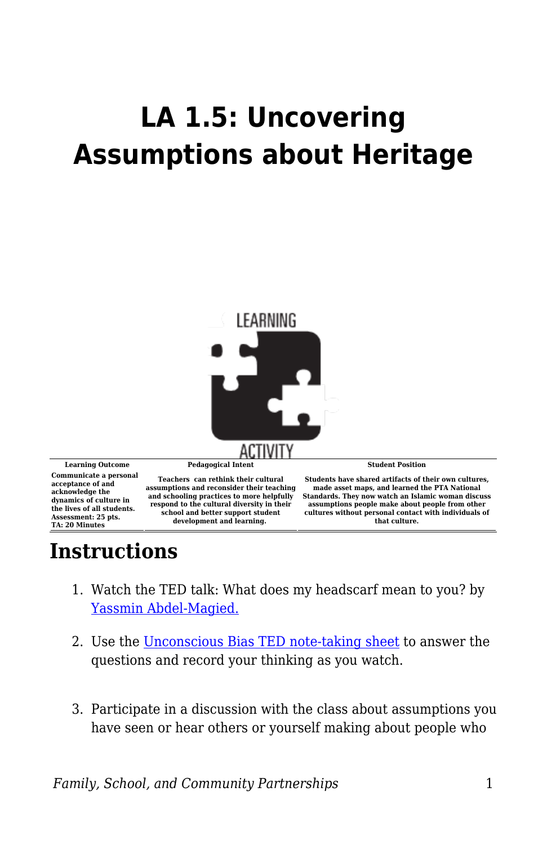## **LA 1.5: Uncovering Assumptions about Heritage**



**Communicate a personal acceptance of and acknowledge the dynamics of culture in the lives of all students. Assessment: 25 pts. TA: 20 Minutes**

**and schooling practices to more helpfully respond to the cultural diversity in their school and better support student development and learning.** 

**Students have shared artifacts of their own cultures, made asset maps, and learned the PTA National Standards. They now watch an Islamic woman discuss assumptions people make about people from other cultures without personal contact with individuals of that culture.**

## **Instructions**

- 1. Watch the TED talk: What does my headscarf mean to you? by [Yassmin Abdel-Magied.](https://www.ted.com/talks/yassmin_abdel_magied_what_does_my_headscarf_mean_to_you?language=en)
- 2. Use the [Unconscious Bias TED note-taking sheet](https://byu.box.com/s/on2smscmnaaebkxt0h6u6f6m3cyuzqq7) to answer the questions and record your thinking as you watch.
- 3. Participate in a discussion with the class about assumptions you have seen or hear others or yourself making about people who